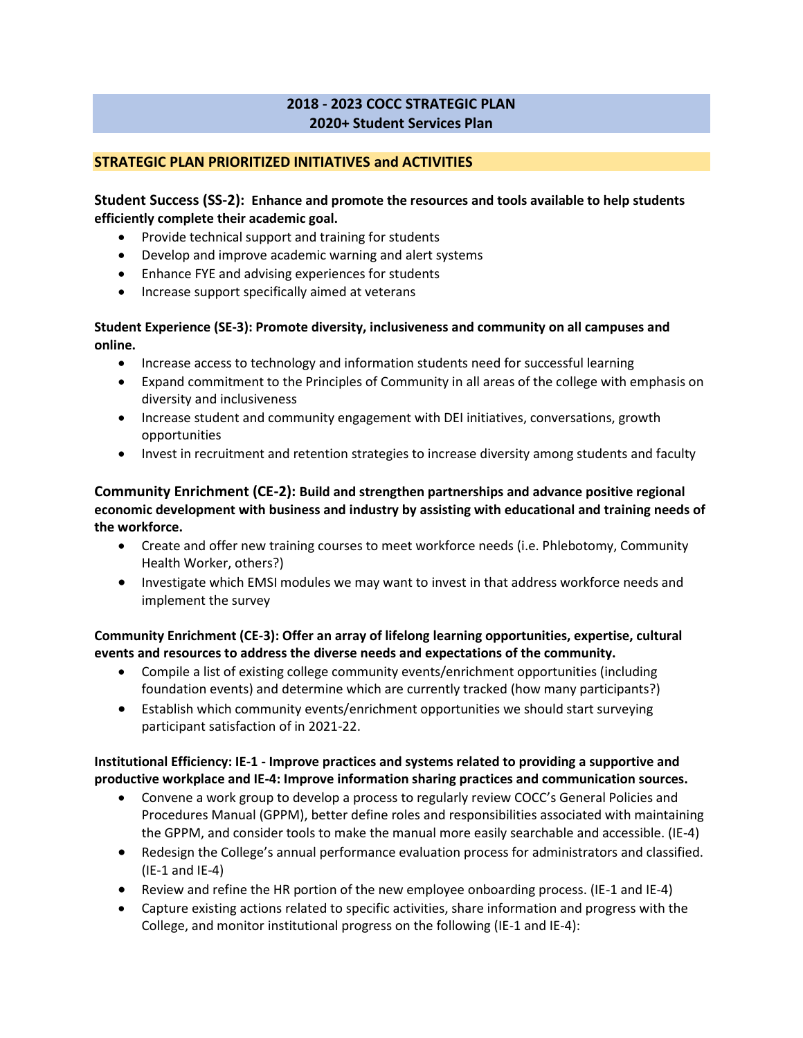# **2018 - 2023 COCC STRATEGIC PLAN 2020+ Student Services Plan**

## **STRATEGIC PLAN PRIORITIZED INITIATIVES and ACTIVITIES**

## **Student Success (SS-2): Enhance and promote the resources and tools available to help students efficiently complete their academic goal.**

- Provide technical support and training for students
- Develop and improve academic warning and alert systems
- Enhance FYE and advising experiences for students
- Increase support specifically aimed at veterans

### **Student Experience (SE-3): Promote diversity, inclusiveness and community on all campuses and online.**

- Increase access to technology and information students need for successful learning
- Expand commitment to the Principles of Community in all areas of the college with emphasis on diversity and inclusiveness
- Increase student and community engagement with DEI initiatives, conversations, growth opportunities
- Invest in recruitment and retention strategies to increase diversity among students and faculty

**Community Enrichment (CE-2): Build and strengthen partnerships and advance positive regional economic development with business and industry by assisting with educational and training needs of the workforce.**

- Create and offer new training courses to meet workforce needs (i.e. Phlebotomy, Community Health Worker, others?)
- Investigate which EMSI modules we may want to invest in that address workforce needs and implement the survey

**Community Enrichment (CE-3): Offer an array of lifelong learning opportunities, expertise, cultural events and resources to address the diverse needs and expectations of the community.**

- Compile a list of existing college community events/enrichment opportunities (including foundation events) and determine which are currently tracked (how many participants?)
- Establish which community events/enrichment opportunities we should start surveying participant satisfaction of in 2021-22.

# **Institutional Efficiency: IE-1 - Improve practices and systems related to providing a supportive and productive workplace and IE-4: Improve information sharing practices and communication sources.**

- Convene a work group to develop a process to regularly review COCC's General Policies and Procedures Manual (GPPM), better define roles and responsibilities associated with maintaining the GPPM, and consider tools to make the manual more easily searchable and accessible. (IE-4)
- Redesign the College's annual performance evaluation process for administrators and classified. (IE-1 and IE-4)
- Review and refine the HR portion of the new employee onboarding process. (IE-1 and IE-4)
- Capture existing actions related to specific activities, share information and progress with the College, and monitor institutional progress on the following (IE-1 and IE-4):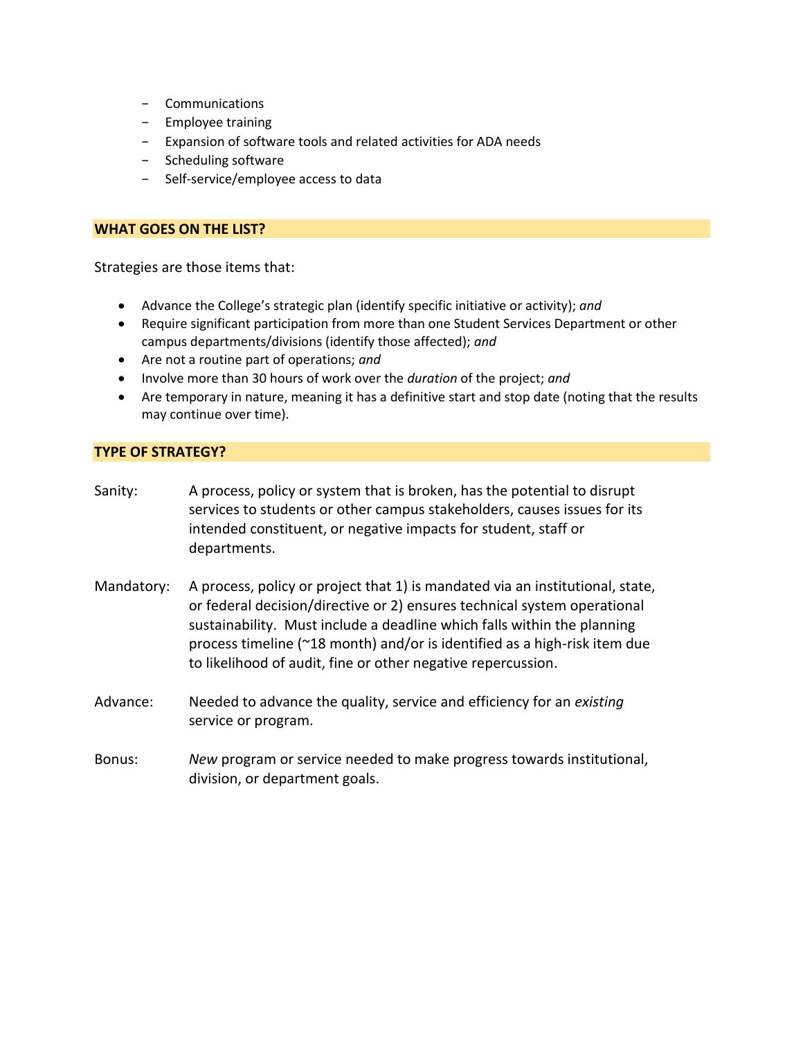- − Communications
- − Employee training
- − Expansion of software tools and related activities for ADA needs
- − Scheduling software
- − Self-service/employee access to data

#### **WHAT GOES ON THE LIST?**

Strategies are those items that:

- Advance the College's strategic plan (identify specific initiative or activity); *and*
- Require significant participation from more than one Student Services Department or other campus departments/divisions (identify those affected); *and*
- Are not a routine part of operations; *and*
- Involve more than 30 hours of work over the *duration* of the project; *and*
- Are temporary in nature, meaning it has a definitive start and stop date (noting that the results may continue over time).

#### **TYPE OF STRATEGY?**

- Sanity: A process, policy or system that is broken, has the potential to disrupt services to students or other campus stakeholders, causes issues for its intended constituent, or negative impacts for student, staff or departments.
- Mandatory: A process, policy or project that 1) is mandated via an institutional, state, or federal decision/directive or 2) ensures technical system operational sustainability. Must include a deadline which falls within the planning process timeline (~18 month) and/or is identified as a high-risk item due to likelihood of audit, fine or other negative repercussion.
- Advance: Needed to advance the quality, service and efficiency for an *existing* service or program.
- Bonus: *New* program or service needed to make progress towards institutional, division, or department goals.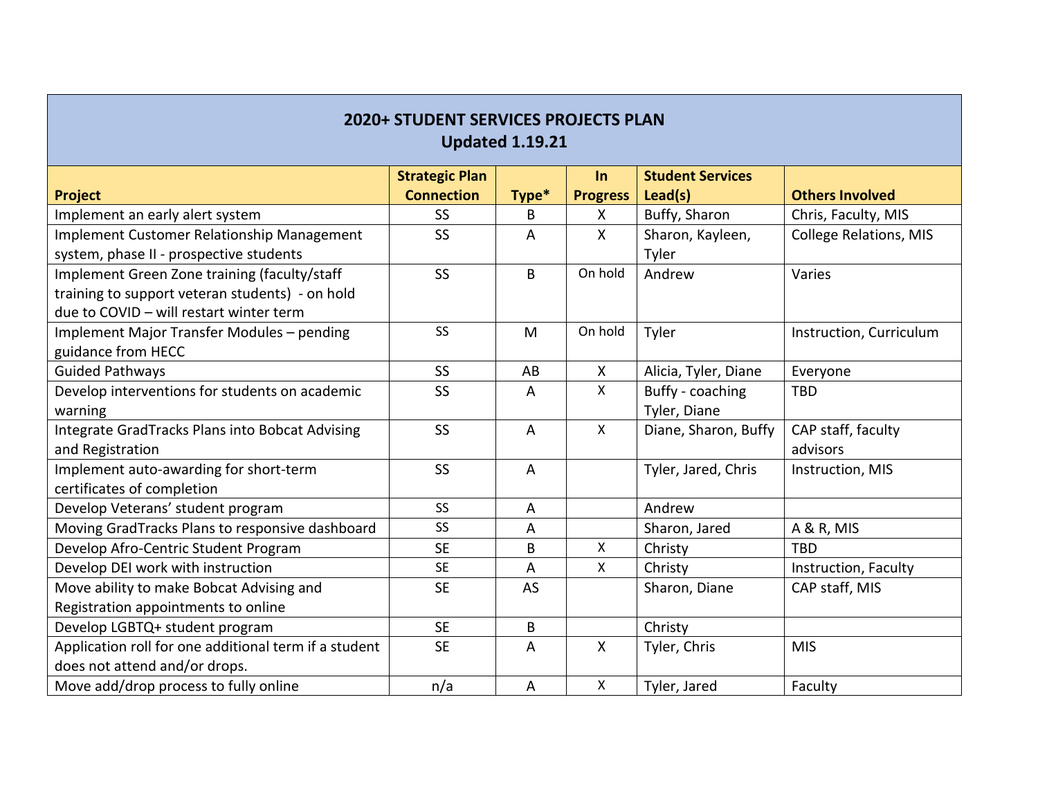| <b>2020+ STUDENT SERVICES PROJECTS PLAN</b><br><b>Updated 1.19.21</b> |                                            |                |                           |                                    |                               |  |  |  |
|-----------------------------------------------------------------------|--------------------------------------------|----------------|---------------------------|------------------------------------|-------------------------------|--|--|--|
| <b>Project</b>                                                        | <b>Strategic Plan</b><br><b>Connection</b> | Type*          | In<br><b>Progress</b>     | <b>Student Services</b><br>Lead(s) | <b>Others Involved</b>        |  |  |  |
| Implement an early alert system                                       | SS                                         | B              | $\boldsymbol{\mathsf{X}}$ | Buffy, Sharon                      | Chris, Faculty, MIS           |  |  |  |
| Implement Customer Relationship Management                            | <b>SS</b>                                  | A              | $\mathsf{X}$              | Sharon, Kayleen,                   | <b>College Relations, MIS</b> |  |  |  |
| system, phase II - prospective students                               |                                            |                |                           | Tyler                              |                               |  |  |  |
| Implement Green Zone training (faculty/staff                          | SS                                         | B              | On hold                   | Andrew                             | Varies                        |  |  |  |
| training to support veteran students) - on hold                       |                                            |                |                           |                                    |                               |  |  |  |
| due to COVID - will restart winter term                               |                                            |                |                           |                                    |                               |  |  |  |
| Implement Major Transfer Modules - pending                            | <b>SS</b>                                  | M              | On hold                   | Tyler                              | Instruction, Curriculum       |  |  |  |
| guidance from HECC                                                    |                                            |                |                           |                                    |                               |  |  |  |
| <b>Guided Pathways</b>                                                | SS                                         | AB             | $\boldsymbol{\mathsf{X}}$ | Alicia, Tyler, Diane               | Everyone                      |  |  |  |
| Develop interventions for students on academic                        | SS                                         | A              | $\mathsf{X}$              | Buffy - coaching                   | <b>TBD</b>                    |  |  |  |
| warning                                                               |                                            |                |                           | Tyler, Diane                       |                               |  |  |  |
| Integrate GradTracks Plans into Bobcat Advising                       | SS                                         | $\overline{A}$ | $\pmb{\times}$            | Diane, Sharon, Buffy               | CAP staff, faculty            |  |  |  |
| and Registration                                                      |                                            |                |                           |                                    | advisors                      |  |  |  |
| Implement auto-awarding for short-term                                | <b>SS</b>                                  | $\overline{A}$ |                           | Tyler, Jared, Chris                | Instruction, MIS              |  |  |  |
| certificates of completion                                            |                                            |                |                           |                                    |                               |  |  |  |
| Develop Veterans' student program                                     | SS                                         | A              |                           | Andrew                             |                               |  |  |  |
| Moving GradTracks Plans to responsive dashboard                       | SS                                         | A              |                           | Sharon, Jared                      | A & R, MIS                    |  |  |  |
| Develop Afro-Centric Student Program                                  | <b>SE</b>                                  | B              | $\mathsf{X}$              | Christy                            | <b>TBD</b>                    |  |  |  |
| Develop DEI work with instruction                                     | <b>SE</b>                                  | $\overline{A}$ | $\mathsf{X}$              | Christy                            | Instruction, Faculty          |  |  |  |
| Move ability to make Bobcat Advising and                              | <b>SE</b>                                  | AS             |                           | Sharon, Diane                      | CAP staff, MIS                |  |  |  |
| Registration appointments to online                                   |                                            |                |                           |                                    |                               |  |  |  |
| Develop LGBTQ+ student program                                        | <b>SE</b>                                  | B              |                           | Christy                            |                               |  |  |  |
| Application roll for one additional term if a student                 | <b>SE</b>                                  | $\overline{A}$ | $\boldsymbol{\mathsf{X}}$ | Tyler, Chris                       | <b>MIS</b>                    |  |  |  |
| does not attend and/or drops.                                         |                                            |                |                           |                                    |                               |  |  |  |
| Move add/drop process to fully online                                 | n/a                                        | $\overline{A}$ | Χ                         | Tyler, Jared                       | Faculty                       |  |  |  |

 $\overline{\phantom{a}}$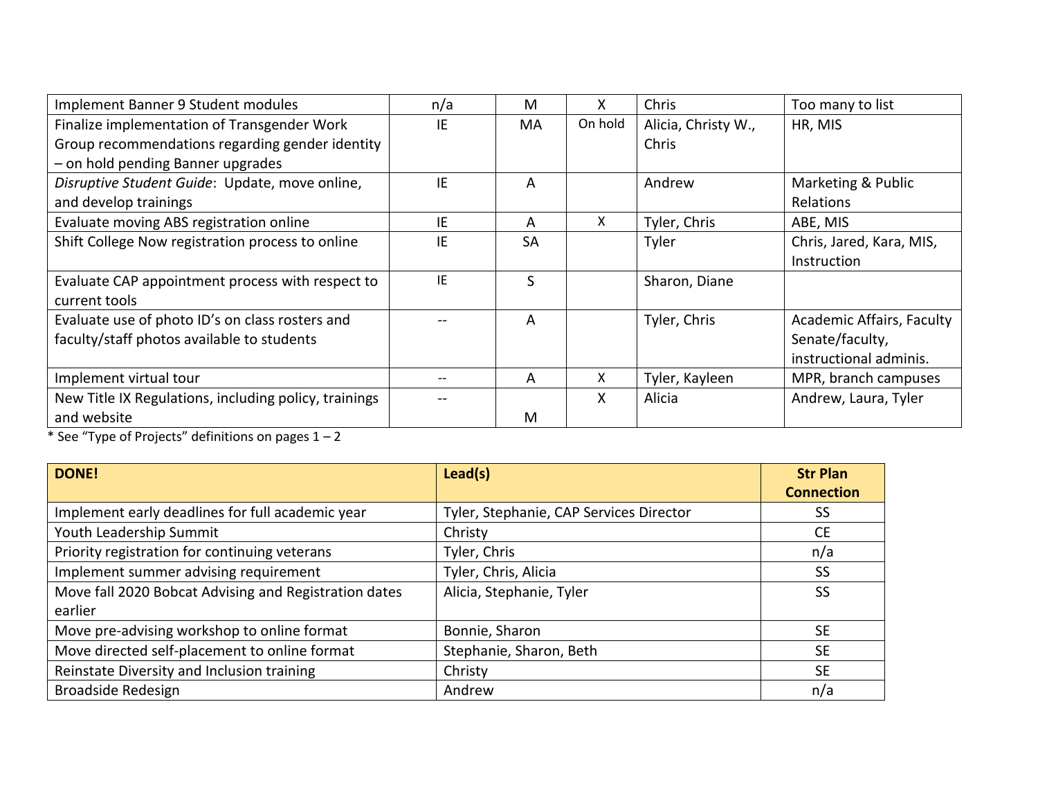| Implement Banner 9 Student modules                    | n/a | M         | x       | Chris               | Too many to list                 |
|-------------------------------------------------------|-----|-----------|---------|---------------------|----------------------------------|
| Finalize implementation of Transgender Work           | IE  | MA        | On hold | Alicia, Christy W., | HR, MIS                          |
| Group recommendations regarding gender identity       |     |           |         | Chris               |                                  |
| - on hold pending Banner upgrades                     |     |           |         |                     |                                  |
| Disruptive Student Guide: Update, move online,        | IE  | A         |         | Andrew              | Marketing & Public               |
| and develop trainings                                 |     |           |         |                     | Relations                        |
| Evaluate moving ABS registration online               | IE  | A         | X       | Tyler, Chris        | ABE, MIS                         |
| Shift College Now registration process to online      | IE  | <b>SA</b> |         | Tyler               | Chris, Jared, Kara, MIS,         |
|                                                       |     |           |         |                     | Instruction                      |
| Evaluate CAP appointment process with respect to      | IE  | S         |         | Sharon, Diane       |                                  |
| current tools                                         |     |           |         |                     |                                  |
| Evaluate use of photo ID's on class rosters and       |     | A         |         | Tyler, Chris        | <b>Academic Affairs, Faculty</b> |
| faculty/staff photos available to students            |     |           |         |                     | Senate/faculty,                  |
|                                                       |     |           |         |                     | instructional adminis.           |
| Implement virtual tour                                |     | A         | X       | Tyler, Kayleen      | MPR, branch campuses             |
| New Title IX Regulations, including policy, trainings |     |           | X       | Alicia              | Andrew, Laura, Tyler             |
| and website                                           |     | M         |         |                     |                                  |

\* See "Type of Projects" definitions on pages 1 – 2

| <b>DONE!</b>                                          | Lead(s)                                 | <b>Str Plan</b>   |
|-------------------------------------------------------|-----------------------------------------|-------------------|
|                                                       |                                         | <b>Connection</b> |
| Implement early deadlines for full academic year      | Tyler, Stephanie, CAP Services Director | SS                |
| Youth Leadership Summit                               | Christy                                 | <b>CE</b>         |
| Priority registration for continuing veterans         | Tyler, Chris                            | n/a               |
| Implement summer advising requirement                 | Tyler, Chris, Alicia                    | <b>SS</b>         |
| Move fall 2020 Bobcat Advising and Registration dates | Alicia, Stephanie, Tyler                | <b>SS</b>         |
| earlier                                               |                                         |                   |
| Move pre-advising workshop to online format           | Bonnie, Sharon                          | <b>SE</b>         |
| Move directed self-placement to online format         | Stephanie, Sharon, Beth                 | <b>SE</b>         |
| Reinstate Diversity and Inclusion training            | Christy                                 | <b>SE</b>         |
| <b>Broadside Redesign</b>                             | Andrew                                  | n/a               |